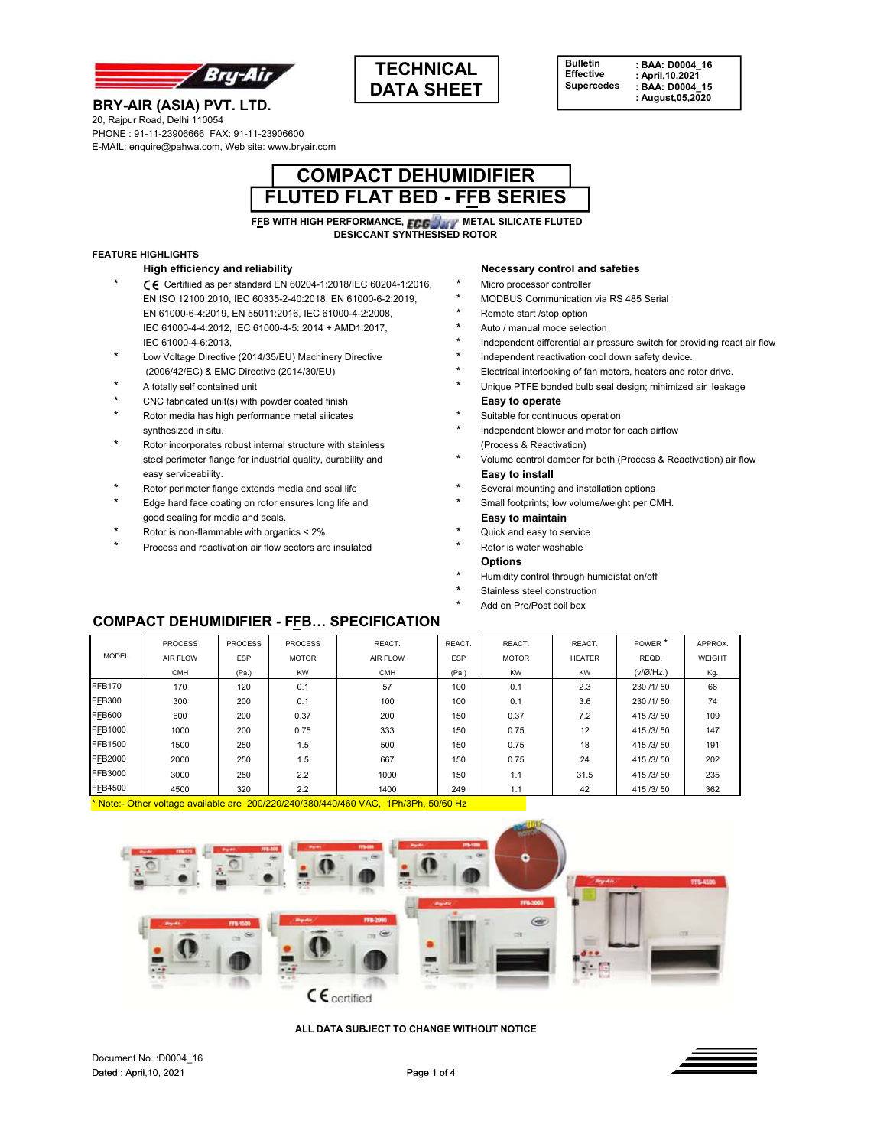



### **BRY-AIR (ASIA) PVT. LTD.** 20, Rajpur Road, Delhi 110054

PHONE : 91-11-23906666 FAX: 91-11-23906600 E-MAIL: enquire@pahwa.com, Web site: www.bryair.com



**FFB WITH HIGH PERFORMANCE, FCG. WETAL SILICATE FLUTED DESICCANT SYNTHESISED ROTOR**

## **FEATURE HIGHLIGHTS**

- C E Certifiied as per standard EN 60204-1:2018/IEC 60204-1:2016, \* Micro processor controller<br>
EN ISO 12100:2010, IEC 60335-2-40:2018, EN 61000-6-2:2019, \* MODBUS Communication via RS 485 Serial EN ISO 12100:2010, IEC 60335-2-40:2018, EN 61000-6-2:2019, EN 61000-6-4:2019, EN 55011:2016, IEC 61000-4-2:2008, \* Remote start /stop option IEC 61000-4-4:2012, IEC 61000-4-5: 2014 + AMD1:2017, \* Auto / manual mode selection
- \* Low Voltage Directive (2014/35/EU) Machinery Directive \* Independent reactivation cool down safety device.
- 
- \* CNC fabricated unit(s) with powder coated finish **Easy to operate**
- \* Rotor media has high performance metal silicates \* Suitable for continuous operation
- \* Rotor incorporates robust internal structure with stainless (Process & Reactivation) easy serviceability. **Easy to install**
- Rotor perimeter flange extends media and seal life \* \* Several mounting and installation options
- \* Edge hard face coating on rotor ensures long life and \* Small footprints; low volume/weight per CMH. good sealing for media and seals. **Easy to maintain**
- \* Rotor is non-flammable with organics < 2%. \* Quick and easy to service
- \* Process and reactivation air flow sectors are insulated \* Rotor is water washable

#### **High efficiency and reliability Necessary control and safeties**

- 
- 
- 
- 
- IEC 61000-4-6:2013, The pressure switch for providing react air flow.
	-
- (2006/42/EC) & EMC Directive (2014/30/EU) \* Electrical interlocking of fan motors, heaters and rotor drive.
- A totally self contained unit **A totally self contained unit** the unit of the Unique PTFE bonded bulb seal design; minimized air leakage
	-
- synthesized in situ. **Example 19 and 19 and 19 and 19 and 19 and 19 and 19 and 19 and 19 and 19 and 19 and 19 and 19 and 19 and 19 and 19 and 19 and 19 and 19 and 19 and 19 and 19 and 19 and 19 and 19 and 19 and 19 and 19**
- steel perimeter flange for industrial quality, durability and \* Volume control damper for both (Process & Reactivation) air flow
	-
	-
	-
	-
	- **Options**
	- Humidity control through humidistat on/off
	- Stainless steel construction
	- Add on Pre/Post coil box

## **COMPACT DEHUMIDIFIER - FFB… SPECIFICATION**

|                | <b>PROCESS</b> | <b>PROCESS</b> | <b>PROCESS</b> | REACT.          | REACT.     | REACT.       | REACT.        | POWER <sup>*</sup> | APPROX. |
|----------------|----------------|----------------|----------------|-----------------|------------|--------------|---------------|--------------------|---------|
| <b>MODEL</b>   | AIR FLOW       | <b>ESP</b>     | <b>MOTOR</b>   | <b>AIR FLOW</b> | <b>ESP</b> | <b>MOTOR</b> | <b>HEATER</b> | REQD.              | WEIGHT  |
|                | <b>CMH</b>     | (Pa.)          | <b>KW</b>      | <b>CMH</b>      | (Pa.)      | <b>KW</b>    | <b>KW</b>     | $(v/\emptyset/Hz)$ | Kg.     |
| <b>FFB170</b>  | 170            | 120            | 0.1            | 57              | 100        | 0.1          | 2.3           | 230 /1/50          | 66      |
| <b>FFB300</b>  | 300            | 200            | 0.1            | 100             | 100        | 0.1          | 3.6           | 230 /1/50          | 74      |
| <b>FFB600</b>  | 600            | 200            | 0.37           | 200             | 150        | 0.37         | 7.2           | 415 /3/50          | 109     |
| <b>FFB1000</b> | 1000           | 200            | 0.75           | 333             | 150        | 0.75         | 12            | 415 /3/50          | 147     |
| <b>FFB1500</b> | 1500           | 250            | 1.5            | 500             | 150        | 0.75         | 18            | 415 /3/50          | 191     |
| <b>FFB2000</b> | 2000           | 250            | 1.5            | 667             | 150        | 0.75         | 24            | 415 /3/50          | 202     |
| FFB3000        | 3000           | 250            | 2.2            | 1000            | 150        | 1.1          | 31.5          | 415 /3/50          | 235     |
| FFB4500        | 4500           | 320            | 2.2            | 1400            | 249        | 1.1          | 42            | 415 /3/50          | 362     |

\* Note:- Other voltage available are 200/220/240/380/440/460 VAC, 1Ph/3Ph, 50/60 Hz



**ALL DATA SUBJECT TO CHANGE WITHOUT NOTICE**

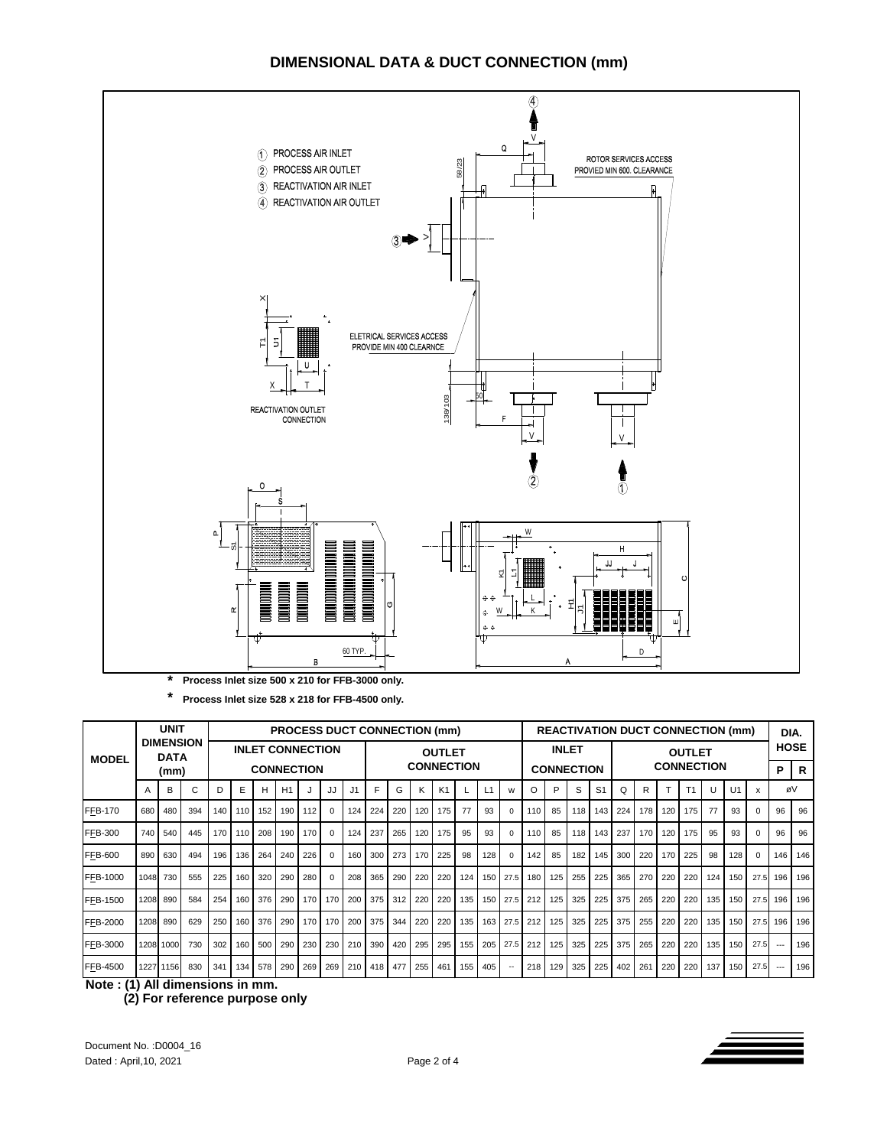# **DIMENSIONAL DATA & DUCT CONNECTION (mm)**



**\* Process Inlet size 528 x 218 for FFB-4500 only.**

| <b>MODEL</b>    |                                 | <b>UNIT</b> |                                              |     | <b>PROCESS DUCT CONNECTION (mm)</b><br><b>REACTIVATION DUCT CONNECTION (mm)</b> |     |                  |       |                  |                                    |     |             |         |                |     | DIA.                              |          |          |     |                                    |                |     |     |                  |                |     |             |      |       |     |
|-----------------|---------------------------------|-------------|----------------------------------------------|-----|---------------------------------------------------------------------------------|-----|------------------|-------|------------------|------------------------------------|-----|-------------|---------|----------------|-----|-----------------------------------|----------|----------|-----|------------------------------------|----------------|-----|-----|------------------|----------------|-----|-------------|------|-------|-----|
|                 | <b>DIMENSION</b><br><b>DATA</b> |             | <b>INLET CONNECTION</b><br><b>CONNECTION</b> |     |                                                                                 |     |                  |       |                  | <b>OUTLET</b><br><b>CONNECTION</b> |     |             |         |                |     | <b>INLET</b><br><b>CONNECTION</b> |          |          |     | <b>OUTLET</b><br><b>CONNECTION</b> |                |     |     |                  |                |     | <b>HOSE</b> |      |       |     |
|                 | (mm)                            |             |                                              |     |                                                                                 |     |                  |       |                  |                                    |     |             |         |                |     |                                   |          |          |     |                                    |                |     |     |                  |                |     | P           | R    |       |     |
|                 | A                               | В           | С                                            | D   | Е                                                                               | Н   | H1               |       | JJ               | J <sub>1</sub>                     | F.  | G           | K       | K <sub>1</sub> |     | L1                                | w        | $\circ$  | P   | S                                  | S <sub>1</sub> | Q   | R   |                  | T <sub>1</sub> | U   | U1          | X    | øV    |     |
| <b>FFB-170</b>  | 680                             | 480         | 394                                          | 140 | 110 <sup>1</sup>                                                                | 152 | 190 <sub>1</sub> | 112   | $\Omega$         | 124                                | 224 | 220         | 120     | 175            | 77  | 93                                | $\Omega$ | 110      | 85  | 118 <sup>1</sup>                   | 143            | 224 | 178 | 120 <sup>1</sup> | 175            | 77  | 93          |      | 96    | 96  |
| <b>FFB-300</b>  | 740                             | 540         | 445                                          | 170 | 110 <sup>1</sup>                                                                | 208 | 190              | 170   | $\Omega$         | 124                                | 237 | 265         | 120     | 175            | 95  | 93                                | O        | 110      | 85  | 118                                | 143            | 237 | 170 | 120 <sub>1</sub> | 175            | 95  | 93          |      | 96    | 96  |
| <b>FFB-600</b>  | 890                             | 630         | 494                                          | 196 | 136                                                                             | 264 | 240              | 226   | $\Omega$         | 160                                | 300 | 273         | 170     | 225            | 98  | 128                               |          | 142      | 85  | 182                                | 145            | 300 | 220 | 170 I            | 225            | 98  | 128         |      | 146   | 146 |
| FFB-1000        | 1048 730                        |             | 555                                          | 225 | 160                                                                             | 320 | 290              | 280   | $\Omega$         | 208                                | 365 | 290         | 220     | 220            | 124 | 150                               | 27.5     | 180      | 125 | 255                                | 225            | 365 | 270 | 220              | 220            | 124 | 150         | 27.5 | 196   | 196 |
| FFB-1500        | 1208                            | 890         | 584                                          | 254 | 160                                                                             | 376 | 290 l            |       | 170 170          | 200                                |     | 375 312 220 |         | 220            | 135 | 150                               |          | 27.5 212 | 125 | 325                                | 225            | 375 | 265 | 220              | 220            | 135 | 150         | 27.5 | 196   | 196 |
| <b>FFB-2000</b> | 1208                            | 890         | 629                                          | 250 | 160                                                                             | 376 | 290              | 170 l | 170 $\mathsf{I}$ | 200                                | 375 | 344         | 220     | 220            | 135 | 163                               | 27.5     | 212      | 125 | 325                                | 225            | 375 | 255 | 220              | 220            | 135 | 150         | 27.5 | 196   | 196 |
| FFB-3000        |                                 | 1208 1000   | 730                                          | 302 | 160 <sub>1</sub>                                                                | 500 | 290              | 230   | 230              | 210                                | 390 |             | 420 295 | 295            | 155 | 205                               | 27.5     | 212      | 125 | 325                                | 225            | 375 | 265 | 220              | 220            | 135 | 150         | 27.5 | $---$ | 196 |
| FFB-4500        |                                 | 1227 1156   | 830                                          | 341 | 134                                                                             | 578 | 290              | 269   | 269              | 210                                | 418 |             | 477 255 | 461            | 155 | 405                               |          | 218      | 129 | 325                                | 225            | 402 | 261 | 220              | 220            | 137 | 150         | 27.5 | $---$ | 196 |

**Note : (1) All dimensions in mm.**

 **(2) For reference purpose only**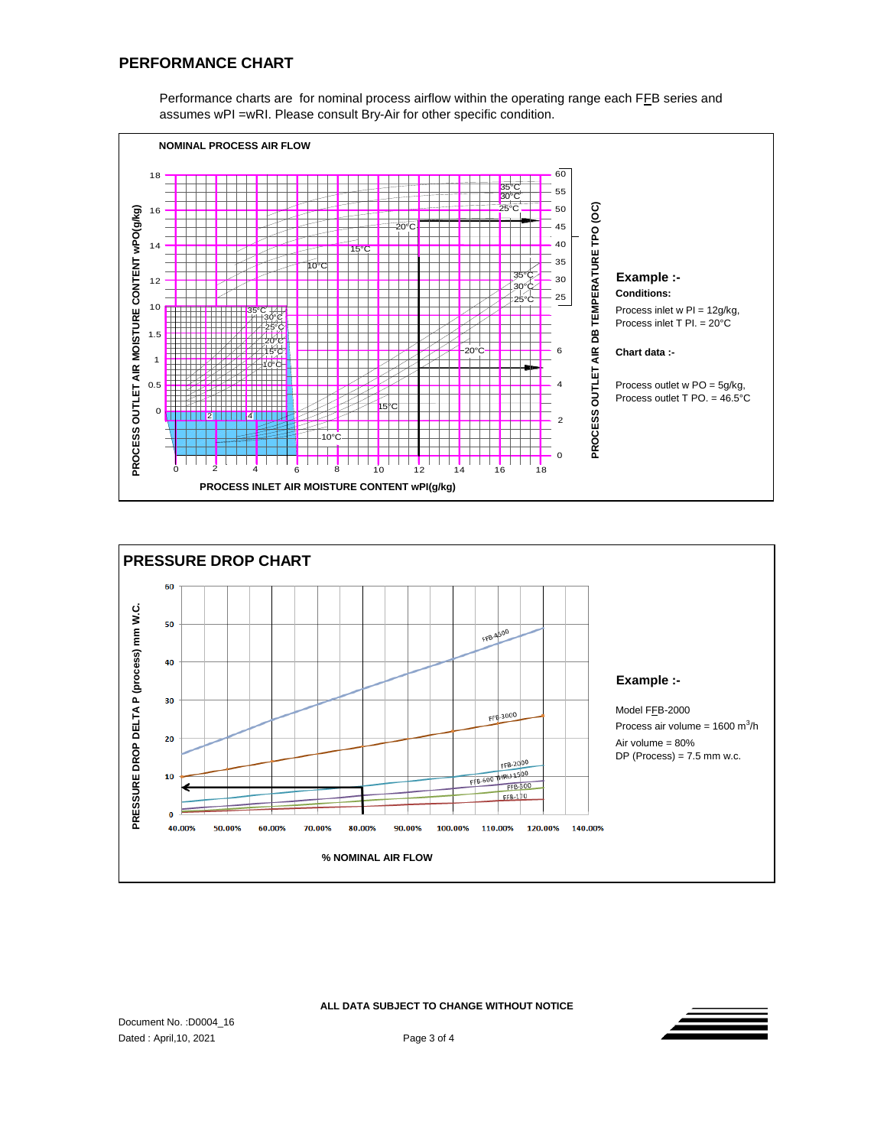Performance charts are for nominal process airflow within the operating range each FFB series and assumes wPI =wRI. Please consult Bry-Air for other specific condition.





**ALL DATA SUBJECT TO CHANGE WITHOUT NOTICE**